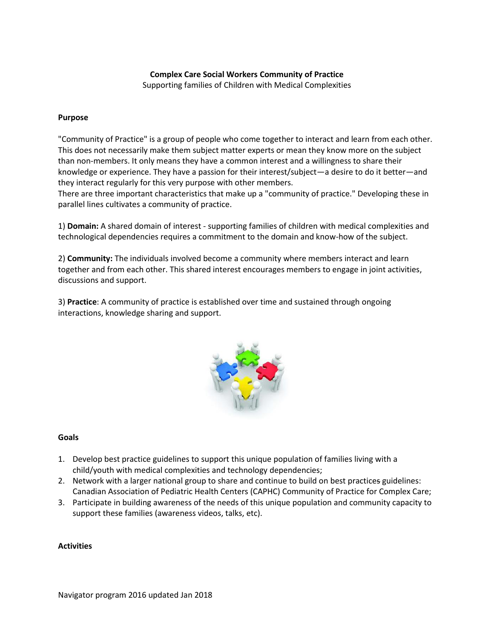# **Complex Care Social Workers Community of Practice** Supporting families of Children with Medical Complexities

## **Purpose**

"Community of Practice" is a group of people who come together to interact and learn from each other. This does not necessarily make them subject matter experts or mean they know more on the subject than non-members. It only means they have a common interest and a willingness to share their knowledge or experience. They have a passion for their interest/subject—a desire to do it better—and they interact regularly for this very purpose with other members.

There are three important characteristics that make up a "community of practice." Developing these in parallel lines cultivates a community of practice.

1) **Domain:** A shared domain of interest - supporting families of children with medical complexities and technological dependencies requires a commitment to the domain and know-how of the subject.

2) **Community:** The individuals involved become a community where members interact and learn together and from each other. This shared interest encourages members to engage in joint activities, discussions and support.

3) **Practice**: A community of practice is established over time and sustained through ongoing interactions, knowledge sharing and support.



### **Goals**

- 1. Develop best practice guidelines to support this unique population of families living with a child/youth with medical complexities and technology dependencies;
- 2. Network with a larger national group to share and continue to build on best practices guidelines: Canadian Association of Pediatric Health Centers (CAPHC) Community of Practice for Complex Care;
- 3. Participate in building awareness of the needs of this unique population and community capacity to support these families (awareness videos, talks, etc).

### **Activities**